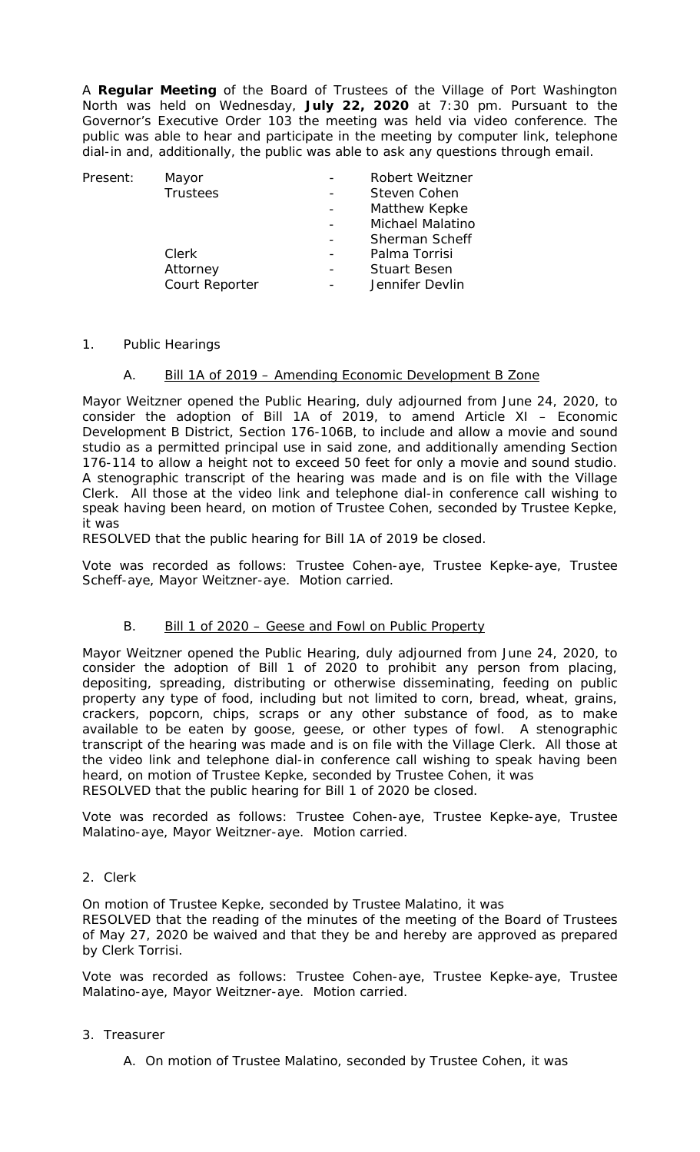A **Regular Meeting** of the Board of Trustees of the Village of Port Washington North was held on Wednesday, **July 22, 2020** at 7:30 pm. Pursuant to the Governor's Executive Order 103 the meeting was held via video conference. The public was able to hear and participate in the meeting by computer link, telephone dial-in and, additionally, the public was able to ask any questions through email.

| Present: | Mayor          |                | <b>Robert Weitzner</b> |  |
|----------|----------------|----------------|------------------------|--|
|          | Trustees       |                | Steven Cohen           |  |
|          |                | $\overline{a}$ | Matthew Kepke          |  |
|          |                |                | Michael Malatino       |  |
|          |                |                | Sherman Scheff         |  |
|          | Clerk          |                | Palma Torrisi          |  |
|          | Attorney       |                | <b>Stuart Besen</b>    |  |
|          | Court Reporter |                | Jennifer Devlin        |  |
|          |                |                |                        |  |

- 1. Public Hearings
	- A. Bill 1A of 2019 Amending Economic Development B Zone

Mayor Weitzner opened the Public Hearing, duly adjourned from June 24, 2020, to consider the adoption of Bill 1A of 2019, to amend Article XI – Economic Development B District, Section 176-106B, to include and allow a movie and sound studio as a permitted principal use in said zone, and additionally amending Section 176-114 to allow a height not to exceed 50 feet for only a movie and sound studio. A stenographic transcript of the hearing was made and is on file with the Village Clerk. All those at the video link and telephone dial-in conference call wishing to speak having been heard, on motion of Trustee Cohen, seconded by Trustee Kepke, it was

RESOLVED that the public hearing for Bill 1A of 2019 be closed.

Vote was recorded as follows: Trustee Cohen-aye, Trustee Kepke-aye, Trustee Scheff-aye, Mayor Weitzner-aye. Motion carried.

## B. Bill 1 of 2020 - Geese and Fowl on Public Property

Mayor Weitzner opened the Public Hearing, duly adjourned from June 24, 2020, to consider the adoption of Bill 1 of 2020 to prohibit any person from placing, depositing, spreading, distributing or otherwise disseminating, feeding on public property any type of food, including but not limited to corn, bread, wheat, grains, crackers, popcorn, chips, scraps or any other substance of food, as to make available to be eaten by goose, geese, or other types of fowl. A stenographic transcript of the hearing was made and is on file with the Village Clerk. All those at the video link and telephone dial-in conference call wishing to speak having been heard, on motion of Trustee Kepke, seconded by Trustee Cohen, it was RESOLVED that the public hearing for Bill 1 of 2020 be closed.

Vote was recorded as follows: Trustee Cohen-aye, Trustee Kepke-aye, Trustee Malatino-aye, Mayor Weitzner-aye. Motion carried.

### 2. Clerk

On motion of Trustee Kepke, seconded by Trustee Malatino, it was RESOLVED that the reading of the minutes of the meeting of the Board of Trustees of May 27, 2020 be waived and that they be and hereby are approved as prepared by Clerk Torrisi.

Vote was recorded as follows: Trustee Cohen-aye, Trustee Kepke-aye, Trustee Malatino-aye, Mayor Weitzner-aye. Motion carried.

#### 3. Treasurer

A. On motion of Trustee Malatino, seconded by Trustee Cohen, it was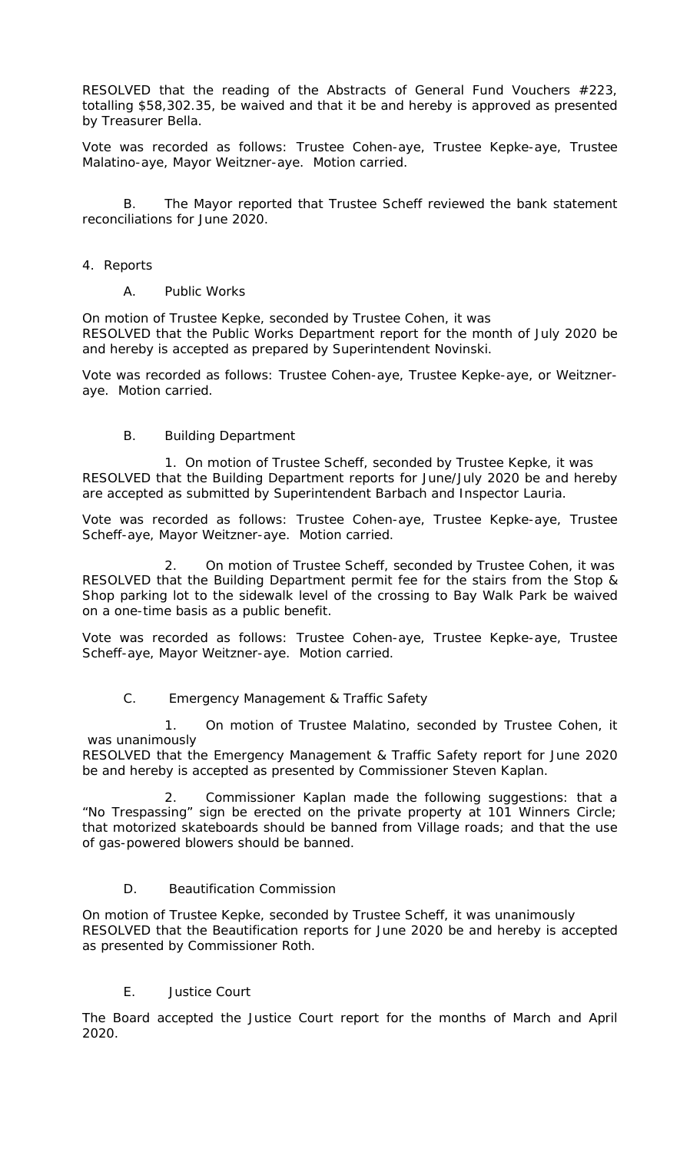RESOLVED that the reading of the Abstracts of General Fund Vouchers #223, totalling \$58,302.35, be waived and that it be and hereby is approved as presented by Treasurer Bella.

Vote was recorded as follows: Trustee Cohen-aye, Trustee Kepke-aye, Trustee Malatino-aye, Mayor Weitzner-aye. Motion carried.

B. The Mayor reported that Trustee Scheff reviewed the bank statement reconciliations for June 2020.

#### 4. Reports

### A. Public Works

On motion of Trustee Kepke, seconded by Trustee Cohen, it was RESOLVED that the Public Works Department report for the month of July 2020 be and hereby is accepted as prepared by Superintendent Novinski.

Vote was recorded as follows: Trustee Cohen-aye, Trustee Kepke-aye, or Weitzneraye. Motion carried.

## B. Building Department

1. On motion of Trustee Scheff, seconded by Trustee Kepke, it was RESOLVED that the Building Department reports for June/July 2020 be and hereby are accepted as submitted by Superintendent Barbach and Inspector Lauria.

Vote was recorded as follows: Trustee Cohen-aye, Trustee Kepke-aye, Trustee Scheff-aye, Mayor Weitzner-aye. Motion carried.

2. On motion of Trustee Scheff, seconded by Trustee Cohen, it was RESOLVED that the Building Department permit fee for the stairs from the Stop & Shop parking lot to the sidewalk level of the crossing to Bay Walk Park be waived on a one-time basis as a public benefit.

Vote was recorded as follows: Trustee Cohen-aye, Trustee Kepke-aye, Trustee Scheff-aye, Mayor Weitzner-aye. Motion carried.

## C. Emergency Management & Traffic Safety

1. On motion of Trustee Malatino, seconded by Trustee Cohen, it was unanimously

RESOLVED that the Emergency Management & Traffic Safety report for June 2020 be and hereby is accepted as presented by Commissioner Steven Kaplan.

2. Commissioner Kaplan made the following suggestions: that a "No Trespassing" sign be erected on the private property at 101 Winners Circle; that motorized skateboards should be banned from Village roads; and that the use of gas-powered blowers should be banned.

## D. Beautification Commission

On motion of Trustee Kepke, seconded by Trustee Scheff, it was unanimously RESOLVED that the Beautification reports for June 2020 be and hereby is accepted as presented by Commissioner Roth.

## E. Justice Court

The Board accepted the Justice Court report for the months of March and April 2020.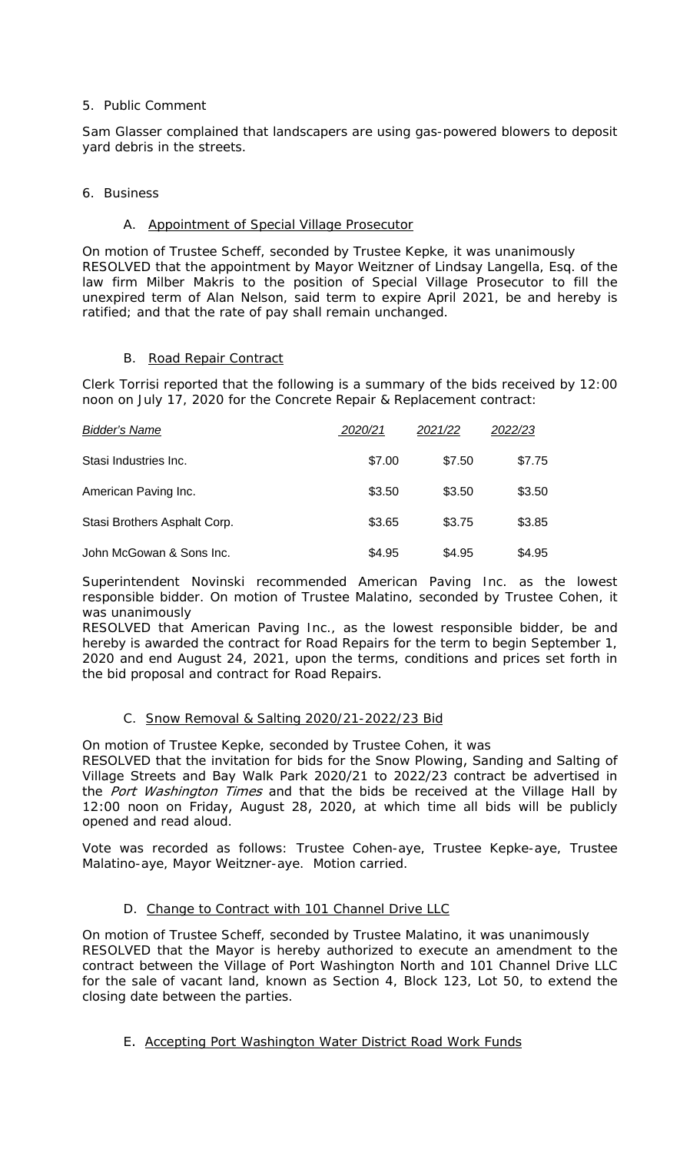## 5. Public Comment

Sam Glasser complained that landscapers are using gas-powered blowers to deposit yard debris in the streets.

## 6. Business

## A. Appointment of Special Village Prosecutor

On motion of Trustee Scheff, seconded by Trustee Kepke, it was unanimously RESOLVED that the appointment by Mayor Weitzner of Lindsay Langella, Esq. of the law firm Milber Makris to the position of Special Village Prosecutor to fill the unexpired term of Alan Nelson, said term to expire April 2021, be and hereby is ratified; and that the rate of pay shall remain unchanged.

## B. Road Repair Contract

Clerk Torrisi reported that the following is a summary of the bids received by 12:00 noon on July 17, 2020 for the Concrete Repair & Replacement contract:

| <b>Bidder's Name</b>         | 2020/21 | 2021/22 | 2022/23 |
|------------------------------|---------|---------|---------|
| Stasi Industries Inc.        | \$7.00  | \$7.50  | \$7.75  |
| American Paving Inc.         | \$3.50  | \$3.50  | \$3.50  |
| Stasi Brothers Asphalt Corp. | \$3.65  | \$3.75  | \$3.85  |
| John McGowan & Sons Inc.     | \$4.95  | \$4.95  | \$4.95  |

Superintendent Novinski recommended American Paving Inc. as the lowest responsible bidder. On motion of Trustee Malatino, seconded by Trustee Cohen, it was unanimously

RESOLVED that American Paving Inc., as the lowest responsible bidder, be and hereby is awarded the contract for Road Repairs for the term to begin September 1, 2020 and end August 24, 2021, upon the terms, conditions and prices set forth in the bid proposal and contract for Road Repairs.

## C. Snow Removal & Salting 2020/21-2022/23 Bid

On motion of Trustee Kepke, seconded by Trustee Cohen, it was RESOLVED that the invitation for bids for the Snow Plowing, Sanding and Salting of Village Streets and Bay Walk Park 2020/21 to 2022/23 contract be advertised in the Port Washington Times and that the bids be received at the Village Hall by 12:00 noon on Friday, August 28, 2020, at which time all bids will be publicly opened and read aloud.

Vote was recorded as follows: Trustee Cohen-aye, Trustee Kepke-aye, Trustee Malatino-aye, Mayor Weitzner-aye. Motion carried.

# D. Change to Contract with 101 Channel Drive LLC

On motion of Trustee Scheff, seconded by Trustee Malatino, it was unanimously RESOLVED that the Mayor is hereby authorized to execute an amendment to the contract between the Village of Port Washington North and 101 Channel Drive LLC for the sale of vacant land, known as Section 4, Block 123, Lot 50, to extend the closing date between the parties.

# E. Accepting Port Washington Water District Road Work Funds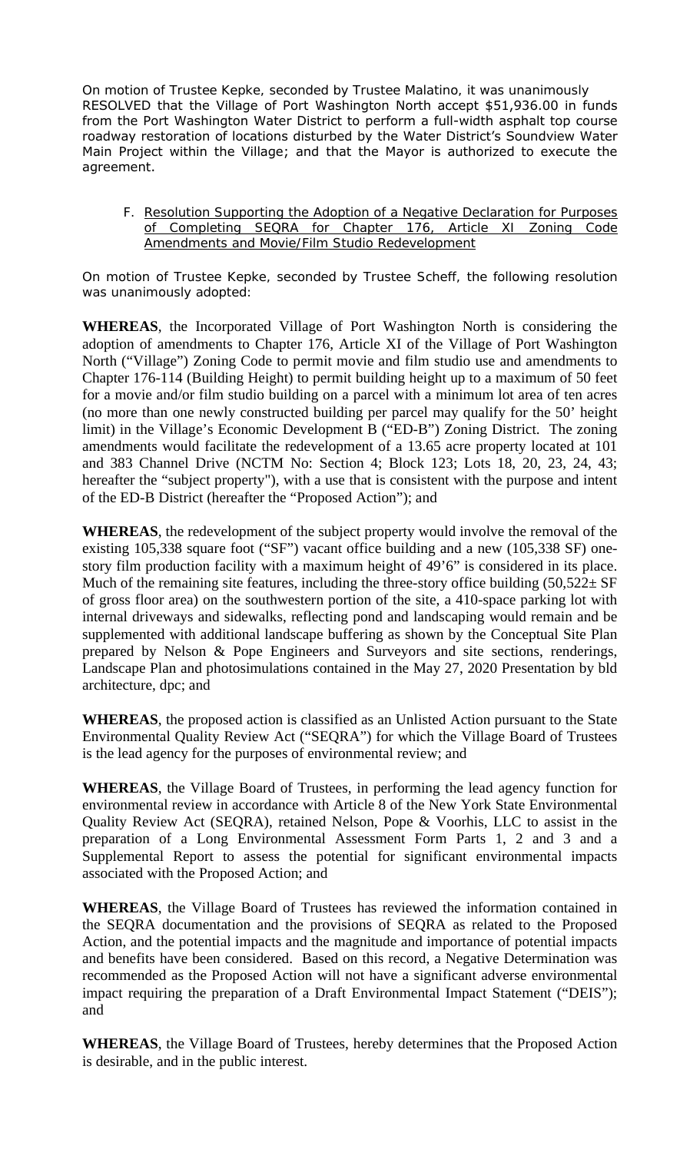On motion of Trustee Kepke, seconded by Trustee Malatino, it was unanimously RESOLVED that the Village of Port Washington North accept \$51,936.00 in funds from the Port Washington Water District to perform a full-width asphalt top course roadway restoration of locations disturbed by the Water District's Soundview Water Main Project within the Village; and that the Mayor is authorized to execute the agreement.

F. Resolution Supporting the Adoption of a Negative Declaration for Purposes of Completing SEQRA for Chapter 176, Article XI Zoning Code Amendments and Movie/Film Studio Redevelopment

On motion of Trustee Kepke, seconded by Trustee Scheff, the following resolution was unanimously adopted:

**WHEREAS**, the Incorporated Village of Port Washington North is considering the adoption of amendments to Chapter 176, Article XI of the Village of Port Washington North ("Village") Zoning Code to permit movie and film studio use and amendments to Chapter 176-114 (Building Height) to permit building height up to a maximum of 50 feet for a movie and/or film studio building on a parcel with a minimum lot area of ten acres (no more than one newly constructed building per parcel may qualify for the 50' height limit) in the Village's Economic Development B ("ED-B") Zoning District. The zoning amendments would facilitate the redevelopment of a 13.65 acre property located at 101 and 383 Channel Drive (NCTM No: Section 4; Block 123; Lots 18, 20, 23, 24, 43; hereafter the "subject property"), with a use that is consistent with the purpose and intent of the ED-B District (hereafter the "Proposed Action"); and

**WHEREAS**, the redevelopment of the subject property would involve the removal of the existing 105,338 square foot ("SF") vacant office building and a new (105,338 SF) onestory film production facility with a maximum height of 49'6" is considered in its place. Much of the remaining site features, including the three-story office building  $(50,522 \pm SF)$ of gross floor area) on the southwestern portion of the site, a 410-space parking lot with internal driveways and sidewalks, reflecting pond and landscaping would remain and be supplemented with additional landscape buffering as shown by the Conceptual Site Plan prepared by Nelson & Pope Engineers and Surveyors and site sections, renderings, Landscape Plan and photosimulations contained in the May 27, 2020 Presentation by bld architecture, dpc; and

**WHEREAS**, the proposed action is classified as an Unlisted Action pursuant to the State Environmental Quality Review Act ("SEQRA") for which the Village Board of Trustees is the lead agency for the purposes of environmental review; and

**WHEREAS**, the Village Board of Trustees, in performing the lead agency function for environmental review in accordance with Article 8 of the New York State Environmental Quality Review Act (SEQRA), retained Nelson, Pope & Voorhis, LLC to assist in the preparation of a Long Environmental Assessment Form Parts 1, 2 and 3 and a Supplemental Report to assess the potential for significant environmental impacts associated with the Proposed Action; and

**WHEREAS**, the Village Board of Trustees has reviewed the information contained in the SEQRA documentation and the provisions of SEQRA as related to the Proposed Action, and the potential impacts and the magnitude and importance of potential impacts and benefits have been considered. Based on this record, a Negative Determination was recommended as the Proposed Action will not have a significant adverse environmental impact requiring the preparation of a Draft Environmental Impact Statement ("DEIS"); and

**WHEREAS**, the Village Board of Trustees, hereby determines that the Proposed Action is desirable, and in the public interest.